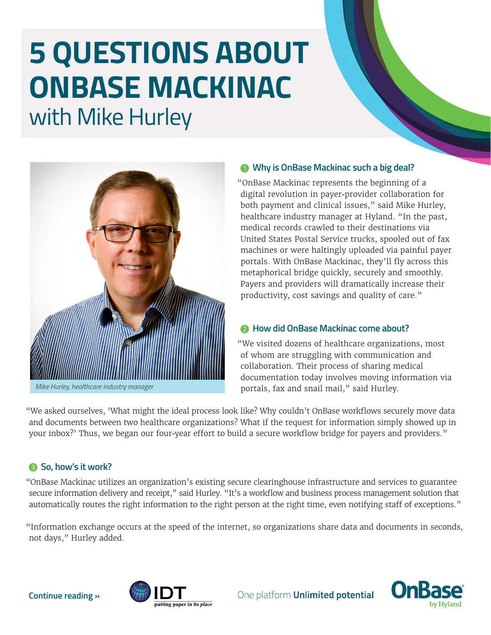# **5 QUESTIONS ABOUT ONBASE MACKINAC**  with Mike Hurley



*Mike Hurley, healthcare industry manager*

#### **<sup>***O***</sup> Why is OnBase Mackinac such a big deal?**

"OnBase Mackinac represents the beginning of a digital revolution in payer-provider collaboration for both payment and clinical issues," said Mike Hurley, healthcare industry manager at Hyland. "In the past, medical records crawled to their destinations via United States Postal Service trucks, spooled out of fax machines or were haltingly uploaded via painful payer portals. With OnBase Mackinac, they'll fly across this metaphorical bridge quickly, securely and smoothly. Payers and providers will dramatically increase their productivity, cost savings and quality of care."

#### **2** How did OnBase Mackinac come about?

"We visited dozens of healthcare organizations, most of whom are struggling with communication and collaboration. Their process of sharing medical documentation today involves moving information via portals, fax and snail mail," said Hurley.

"We asked ourselves, 'What might the ideal process look like? Why couldn't OnBase workflows securely move data and documents between two healthcare organizations? What if the request for information simply showed up in your inbox?' Thus, we began our four-year effort to build a secure workflow bridge for payers and providers."

## **8** So, how's it work?

"OnBase Mackinac utilizes an organization's existing secure clearinghouse infrastructure and services to guarantee secure information delivery and receipt," said Hurley. "It's a workflow and business process management solution that automatically routes the right information to the right person at the right time, even notifying staff of exceptions."

"Information exchange occurs at the speed of the internet, so organizations share data and documents in seconds, not days," Hurley added.





One platform **Unlimited potential**